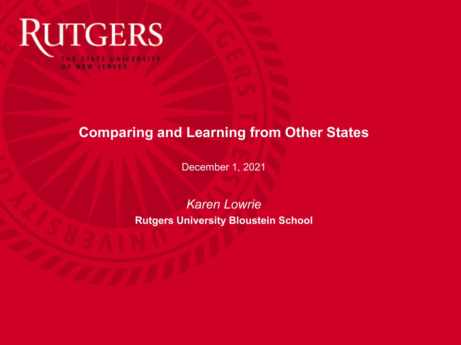

### **Comparing and Learning from Other States**

December 1, 2021

*Karen Lowrie* **Rutgers University Bloustein School**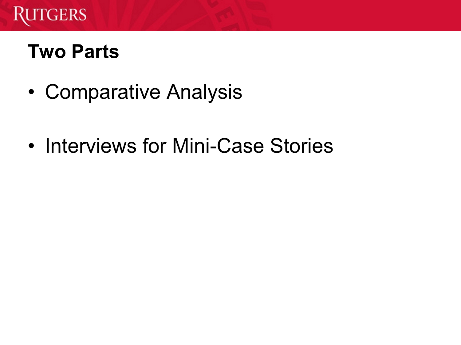

## **Two Parts**

- Comparative Analysis
- Interviews for Mini-Case Stories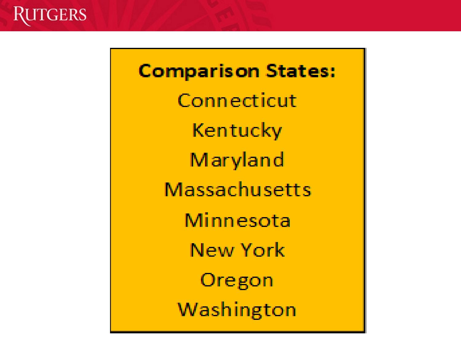**Comparison States:** Connecticut Kentucky Maryland **Massachusetts** Minnesota **New York** Oregon Washington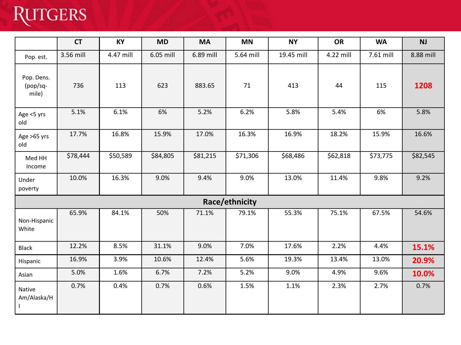# **RUTGERS**

|                                 | <b>CT</b> | KY        | <b>MD</b> | <b>MA</b> | <b>MN</b> | <b>NY</b>  | <b>OR</b> | <b>WA</b> | NJ        |  |  |
|---------------------------------|-----------|-----------|-----------|-----------|-----------|------------|-----------|-----------|-----------|--|--|
| Pop. est.                       | 3.56 mill | 4.47 mill | 6.05 mill | 6.89 mill | 5.64 mill | 19.45 mill | 4.22 mill | 7.61 mill | 8.88 mill |  |  |
| Pop. Dens.<br>(pop/sq-<br>mile) | 736       | 113       | 623       | 883.65    | 71        | 413        | 44        | 115       | 1208      |  |  |
| Age <5 yrs<br>old               | 5.1%      | 6.1%      | 6%        | 5.2%      | 6.2%      | 5.8%       | 5.4%      | 6%        | 5.8%      |  |  |
| Age >65 yrs<br>old              | 17.7%     | 16.8%     | 15.9%     | 17.0%     | 16.3%     | 16.9%      | 18.2%     | 15.9%     | 16.6%     |  |  |
| Med HH<br>Income                | \$78,444  | \$50,589  | \$84,805  | \$81,215  | \$71,306  | \$68,486   | \$62,818  | \$73,775  | \$82,545  |  |  |
| Under<br>poverty                | 10.0%     | 16.3%     | 9.0%      | 9.4%      | 9.0%      | 13.0%      | 11.4%     | 9.8%      | 9.2%      |  |  |
| Race/ethnicity                  |           |           |           |           |           |            |           |           |           |  |  |
| Non-Hispanic<br>White           | 65.9%     | 84.1%     | 50%       | 71.1%     | 79.1%     | 55.3%      | 75.1%     | 67.5%     | 54.6%     |  |  |
| <b>Black</b>                    | 12.2%     | 8.5%      | 31.1%     | 9.0%      | 7.0%      | 17.6%      | 2.2%      | 4.4%      | 15.1%     |  |  |
| Hispanic                        | 16.9%     | 3.9%      | 10.6%     | 12.4%     | 5.6%      | 19.3%      | 13.4%     | 13.0%     | 20.9%     |  |  |
| Asian                           | 5.0%      | 1.6%      | 6.7%      | 7.2%      | 5.2%      | 9.0%       | 4.9%      | 9.6%      | 10.0%     |  |  |
| Native<br>Am/Alaska/H           | 0.7%      | 0.4%      | 0.7%      | 0.6%      | 1.5%      | 1.1%       | 2.3%      | 2.7%      | 0.7%      |  |  |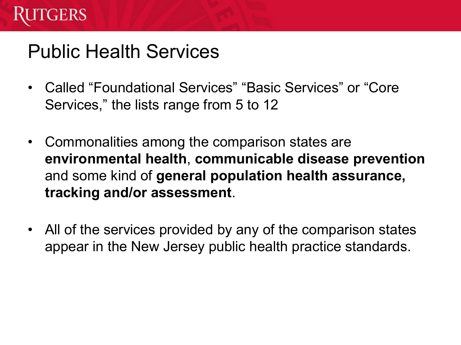

### Public Health Services

- Called "Foundational Services" "Basic Services" or "Core Services," the lists range from 5 to 12
- Commonalities among the comparison states are **environmental health**, **communicable disease prevention**  and some kind of **general population health assurance, tracking and/or assessment**.
- All of the services provided by any of the comparison states appear in the New Jersey public health practice standards.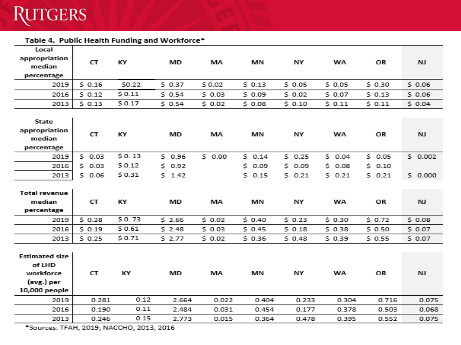

Table 4. Public Health Funding and Workforce\*

| Local                 |             |        |         |        |        |            |            |           |           |
|-----------------------|-------------|--------|---------|--------|--------|------------|------------|-----------|-----------|
| appropriation         | СT          | KY     | MD      | MA     | МN     | NY         | WA         | <b>OR</b> | NJ.       |
| median                |             |        |         |        |        |            |            |           |           |
| percentage            |             |        |         |        |        |            |            |           |           |
| 2019                  | \$0.16      | \$0.22 | \$0.37  | \$0.02 | \$0.13 | \$0.05     | 50.05      | \$0.30    | \$0.06    |
| 2016                  | 50.12       | \$0.11 | \$0.54  | \$0.03 | \$0.09 | \$0.02     | \$0.07     | \$0.13    | \$0.06    |
| 2013                  | \$0.13      | \$0.17 | \$0.54  | \$0.02 | \$0.08 | \$0.10     | \$0.11     | \$0.11    | \$0.04    |
|                       |             |        |         |        |        |            |            |           |           |
| State                 |             |        |         |        |        |            |            |           |           |
| appropriation         | СT          | KY     | MD      | MA     | МN     | ΝY         | WA         | OR        | NJ.       |
| median                |             |        |         |        |        |            |            |           |           |
| percentage            |             |        |         |        |        |            |            |           |           |
| 2019                  | \$0.03      | \$0.13 | \$ 0.96 | \$0.00 | 50.14  | 50.25      | 50.04      | \$0.05    | \$0.002   |
| 2016                  | \$0.03      | \$0.12 | 50.92   |        | \$0.09 | s.<br>0.09 | \$0.08     | \$0.10    |           |
| 2013                  | \$.<br>0.06 | \$0.31 | 5 1.42  |        | 50.15  | Ś.<br>0.21 | s.<br>0.21 | \$0.21    | \$0.000   |
|                       |             |        |         |        |        |            |            |           |           |
| <b>Total revenue</b>  |             |        |         |        |        |            |            |           |           |
| median                | СT          | ΚY     | MD      | ΜA     | ΜN     | ΝY         | WA         | ΟR        | NJ.       |
| percentage            |             |        |         |        |        |            |            |           |           |
| 2019                  | \$0.28      | \$0.73 | \$2.66  | 50.02  | \$0.40 | \$0.23     | \$0.30     | \$ 0.72   | \$0.08    |
| 2016                  | \$0.19      | \$0.61 | \$2.48  | \$0.03 | \$0.45 | \$0.18     | \$0.38     | \$0.50    | \$0.07    |
| 2013                  | \$0.25      | \$0.71 | \$2.77  | \$0.02 | \$0.36 | \$0.48     | \$0.39     | \$0.55    | \$0.07    |
|                       |             |        |         |        |        |            |            |           |           |
| <b>Estimated size</b> |             |        |         |        |        |            |            |           |           |
| of LHD                |             |        |         |        |        |            |            |           |           |
| workforce             | СT          | KY     | MD      | MA     | MN     | ΝY         | WA         | OR        | <b>NJ</b> |
| (avg.) per            |             |        |         |        |        |            |            |           |           |
| 10,000 people         |             |        |         |        |        |            |            |           |           |
| 2019                  | 0.281       | 0.12   | 2.664   | 0.022  | 0.404  | 0.233      | 0.304      | 0.716     | 0.075     |
| 2016                  | 0.190       | 0.11   | 2.484   | 0.031  | 0.454  | 0.177      | 0.378      | 0.503     | 0.068     |
| 2013                  | 0.246       | 0.15   | 2.773   | 0.015  | 0.364  | 0.478      | 0.395      | 0.552     | 0.075     |

\*Sources: TFAH, 2019; NACCHO, 2013, 2016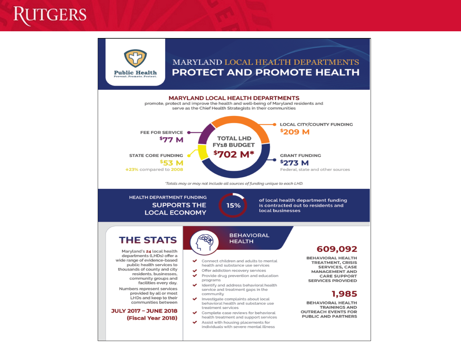### GERS



#### MARYLAND LOCAL HEALTH DEPARTMENTS **PROTECT AND PROMOTE HEALTH**

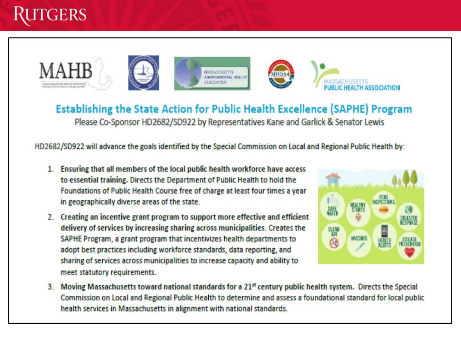







Establishing the State Action for Public Health Excellence (SAPHE) Program Please Co-Sponsor HD2682/SD922 by Representatives Kane and Garlick & Senator Lewis

HD2682/SD922 will advance the goals identified by the Special Commission on Local and Regional Public Health by:

- 1. Ensuring that all members of the local public health workforce have access to essential training. Directs the Department of Public Health to hold the Foundations of Public Health Course free of charge at least four times a year in geographically diverse areas of the state.
- 2. Creating an incentive grant program to support more effective and efficient delivery of services by increasing sharing across municipalities. Creates the SAPHE Program, a grant program that incentivizes health departments to adopt best practices including workforce standards, data reporting, and sharing of services across municipalities to increase capacity and ability to meet statutory requirements.



Moving Massachusetts toward national standards for a 21st century public health system. Directs the Special  $3.$ Commission on Local and Regional Public Health to determine and assess a foundational standard for local public health services in Massachusetts in alignment with national standards.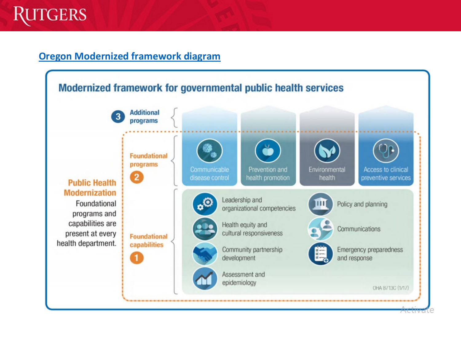

#### **Oregon Modernized framework diagram**

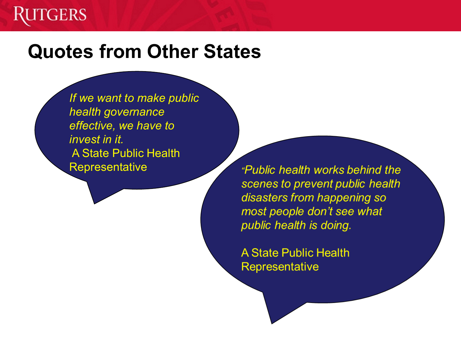### **TGERS**

### **Quotes from Other States**

*If we want to make public health governance effective, we have to invest in it.* A State Public Health **Representative** 

*"Public health works behind the* scenes to prevent public health disasters from happening so most people don't see what public health is doing.

**A State Public Health** Representative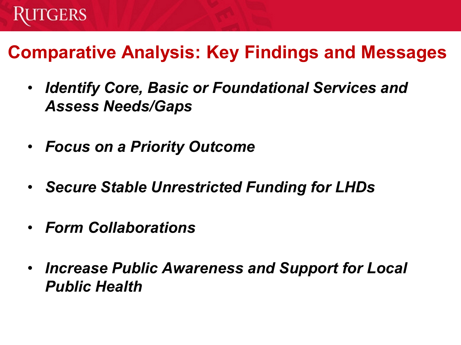

### **Comparative Analysis: Key Findings and Messages**

- *Identify Core, Basic or Foundational Services and Assess Needs/Gaps*
- *Focus on a Priority Outcome*
- *Secure Stable Unrestricted Funding for LHDs*
- *Form Collaborations*
- *Increase Public Awareness and Support for Local Public Health*